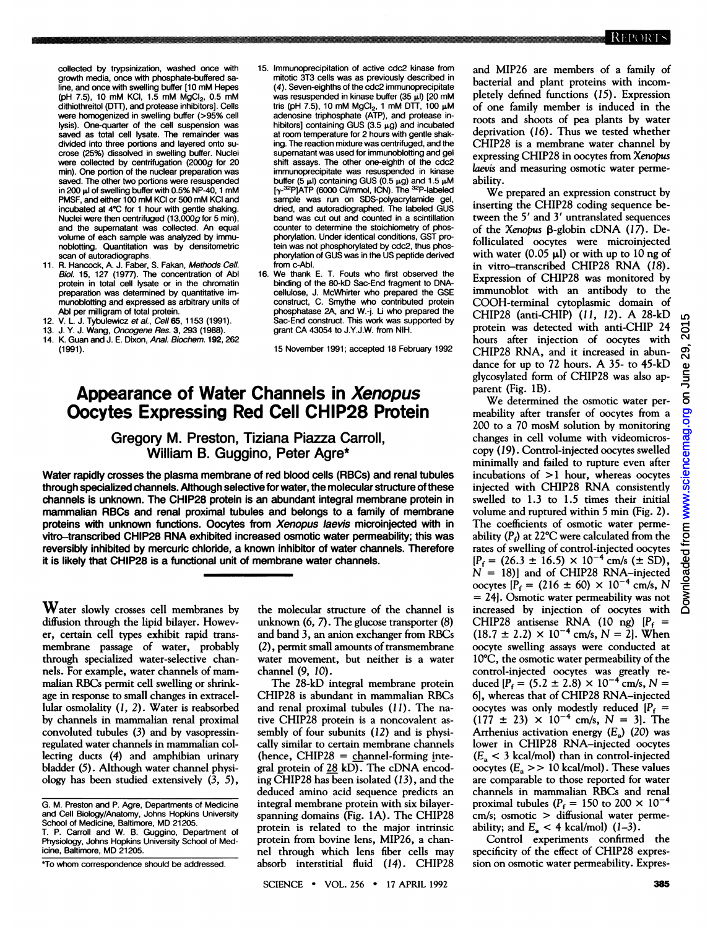collected by trypsinization, washed once with growth media, once with phosphate-buffered saline, and once with swelling buffer [10 mM Hepes  $(pH 7.5)$ , 10 mM KCI, 1.5 mM MgCI<sub>2</sub>, 0.5 mM dithiothreitol (DTT), and protease inhibitors]. Cells were homogenized in swelling buffer (>95% cell lysis). One-quarter of the cell suspension was saved as total cell lysate. The remainder was divided into three portions and layered onto sucrose (25%) dissolved in swelling buffer. Nuclei were collected by centrifugation (2000g for 20 min). One portion of the nuclear preparation was saved. The other two portions were resuspended in 200 µl of swelling buffer with 0.5% NP-40, 1 mM PMSF, and either <sup>100</sup> mM KCI or <sup>500</sup> mM KCI and incubated at 4°C for <sup>1</sup> hour with gentle shaking. Nuclei were then centrifuged (13,000g for 5 min), and the supernatant was collected. An equal volume of each sample was analyzed by immunoblotting. Quantitation was by densitometric scan of autoradiographs.

- 11. R. Hancock, A. J. Faber, S. Fakan, Methods Cell. Biol. 15, 127 (1977). The concentration of Abl protein in total cell lysate or in the chromatin preparation was determined by quantitative immunoblotting and expressed as arbitrary units of Abl per milligram of total protein.
- 12. V. L. J. Tybulewicz et al., Cell 65, 1153 (1991).
- 13. J. Y. J. Wang, *Oncogene Res.* 3, 293 (1988).<br>14. K. Guan and J. E. Dixon. *Anal. Biochem.* 1**92**.
- K. Guan and J. E. Dixon, Anal. Biochem. 192, 262 (1991).
- 15. Immunoprecipitation of active cdc2 kinase from mitotic 3T3 cells was as previously described in (4). Seven-eighths of the cdc2 immunoprecipitate was resuspended in kinase buffer (35 µl) [20 mM tris (pH 7.5), 10 mM MgCl<sub>2</sub>, 1 mM DTT, 100 µM<br>adenosine triphosphate (ATP), and protease inhibitors] containing GUS  $(3.5 \mu g)$  and incubated at room temperature for 2 hours with gentle shaking. The reaction mixture was centrifuged, and the supernatant was used for immunoblotting and gel shift assays. The other one-eighth of the cdc2 immunoprecipitate was resuspended in kinase buffer (5  $\mu$ l) containing GUS (0.5  $\mu$ g) and 1.5  $\mu$ M [y-32P]ATP (6000 Ci/mmol, ICN). The 32P-labeled sample was run on SDS-polyacrylamide gel, dried, and autoradiographed. The labeled GUS band was cut out and counted in a scintillation counter to determine the stoichiometry of phosphorylation. Under identical conditions, GST protein was not phosphorylated by cdc2, thus phosphorylation of GUS was in the US peptide derived from c-Abl.
- 16. We thank E. T. Fouts who first observed the binding of the 80-kD Sac-End fragment to DNAcellulose, J. McWhirter who prepared the GSE construct, C. Smythe who contributed protein phosphatase 2A, and W.-j. Li who prepared the Sac-End construct. This work was supported by grant CA 43054 to J.Y.J.W. from NIH.

15 November 1991; accepted 18 February 1992

## Appearance of Water Channels in Xenopus Oocytes Expressing Red Cell CHIP28 Protein

## Gregory M. Preston, Tiziana Piazza Carroll, William B. Guggino, Peter Agre\*

Water rapidly crosses the plasma membrane of red blood cells (RBCs) and renal tubules through specialized channels. Although selective for water, the molecular structure of these channels is unknown. The CHIP28 protein is an abundant integral membrane protein in mammalian RBCs and renal proximal tubules and belongs to a family of membrane proteins with unknown functions. Oocytes from Xenopus laevis microinjected with in vitro-transcribed CHIP28 RNA exhibited increased osmotic water permeability; this was reversibly inhibited by mercuric chloride, a known inhibitor of water channels. Therefore it is likely that CHIP28 is a functional unit of membrane water channels.

 $\mathbf W$ ater slowly crosses cell membranes by diffusion through the lipid bilayer. However, certain cell types exhibit rapid transmembrane passage of water, probably through specialized water-selective channels. For example, water channels of mammalian RBCs permit cell swelling or shrinkage in response to small changes in extracellular osmolality (1, 2). Water is reabsorbed by channels in mammalian renal proximal convoluted tubules (3) and by vasopressinregulated water channels in mammalian collecting ducts (4) and amphibian urinary bladder (5). Although water channel physiology has been studied extensively (3, 5),

the molecular structure of the channel is unknown (6, 7). The glucose transporter (8) and band 3, an anion exchanger from RBCs (2), permit small amounts of transmembrane water movement, but neither is a water channel (9, 10).

The 28-kD integral membrane protein CHIP28 is abundant in mammalian RBCs and renal proximal tubules (11). The native CHIP28 protein is <sup>a</sup> noncovalent assembly of four subunits (12) and is physically similar to certain membrane channels (hence, CHIP28 =  $channel-forming$  integral protein of <sup>28</sup> kD). The cDNA encoding CHIP28 has been isolated (13), and the deduced amino acid sequence predicts an integral membrane protein with six bilayerspanning domains (Fig. 1A). The CHIP28 protein is related to the major intrinsic protein from bovine lens, MIP26, a channel through which lens fiber cells may absorb interstitial fluid (14). CHIP28 and MIP26 are members of <sup>a</sup> family of bacterial and plant proteins with incompletely defined functions (15). Expression of one family member is induced in the roots and shoots of pea plants by water deprivation (16). Thus we tested whether CHIP28 is <sup>a</sup> membrane water channel by expressing CHIP28 in oocytes from Xenopus laevis and measuring osmotic water permeability.

We prepared an expression construct by inserting the CHIP28 coding sequence between the <sup>5</sup>' and <sup>3</sup>' untranslated sequences of the Xenopus  $\beta$ -globin cDNA (17). Defolliculated oocytes were microinjected with water (0.05  $\mu$ l) or with up to 10 ng of in vitro-transcribed CHIP28 RNA (18). Expression of CHIP28 was monitored by immunoblot with an antibody to the COOH-terminal cytoplasmic domain of CHIP28 (anti-CHIP) (11, 12). A 28-kD protein was detected with anti-CHIP 24 hours after injection of oocytes with CHIP28 RNA, and it increased in abundance for up to <sup>72</sup> hours. A 35- to 45-kD glycosylated form of CHIP28 was also apparent (Fig. 1B).

We determined the osmotic water per meability after transfer of oocytes from a <sup>200</sup> to <sup>a</sup> <sup>70</sup> mosM solution by monitoring changes in cell volume with videomicroscopy (19). Control-injected oocytes swelled minimally and failed to rupture even after incubations of >1 hour, whereas oocytes injected with CHIP28 RNA consistently swelled to 1.3 to 1.5 times their initial volume and ruptured within <sup>5</sup> min (Fig. 2). The coefficients of osmotic water permeability ( $P_f$ ) at 22°C were calculated from the rates of swelling of control-injected oocytes  $[P_f = (26.3 \pm 16.5) \times 10^{-4}$  cm/s ( $\pm$  SD),  $N = 18$ ] and of CHIP28 RNA-injected oocytes  $[P_f = (216 \pm 60) \times 10^{-4}$  cm/s, N = 24]. Osmotic water permeability was not increased by injection of oocytes with CHIP28 antisense RNA (10 ng)  $[P_f =$  $(18.7 \pm 2.2) \times 10^{-4}$  cm/s,  $N = 2$ ]. When oocyte swelling assays were conducted at 10°C, the osmotic water permeability of the control-injected oocytes was greatly reduced  $[P_f = (5.2 \pm 2.8) \times 10^{-4}$  cm/s,  $N =$ 6], whereas that of CHIP28 RNA-injected oocytes was only modestly reduced  $[P_f =$  $(177 \pm 23) \times 10^{-4}$  cm/s,  $N = 3$ . The Arrhenius activation energy  $(E_2)$  (20) was lower in CHIP28 RNA-injected oocytes  $(E_a < 3 \text{ kcal/mol})$  than in control-injected oocytes ( $E_a$  >> 10 kcal/mol). These values are comparable to those reported for water channels in mammalian RBCs and renal proximal tubules ( $P_f = 150$  to 200  $\times$  10<sup>-4</sup> cm/s; osmotic > diffusional water permeability; and  $E_a < 4$  kcal/mol)  $(1-3)$ .

Control experiments confirmed the specificity of the effect of CHIP28 expression on osmotic water permeability. Expres-

G. M. Preston and P. Agre, Departments of Medicine and Cell Biology/Anatomy, Johns Hopkins University School of Medicine, Baltimore, MD 21205. T. P. Carroll and W. B. Guggino, Department of

Physiology, Johns Hopkins University School of Medicine, Baltimore, MD 21205.

<sup>\*</sup>To whom correspondence should be addressed.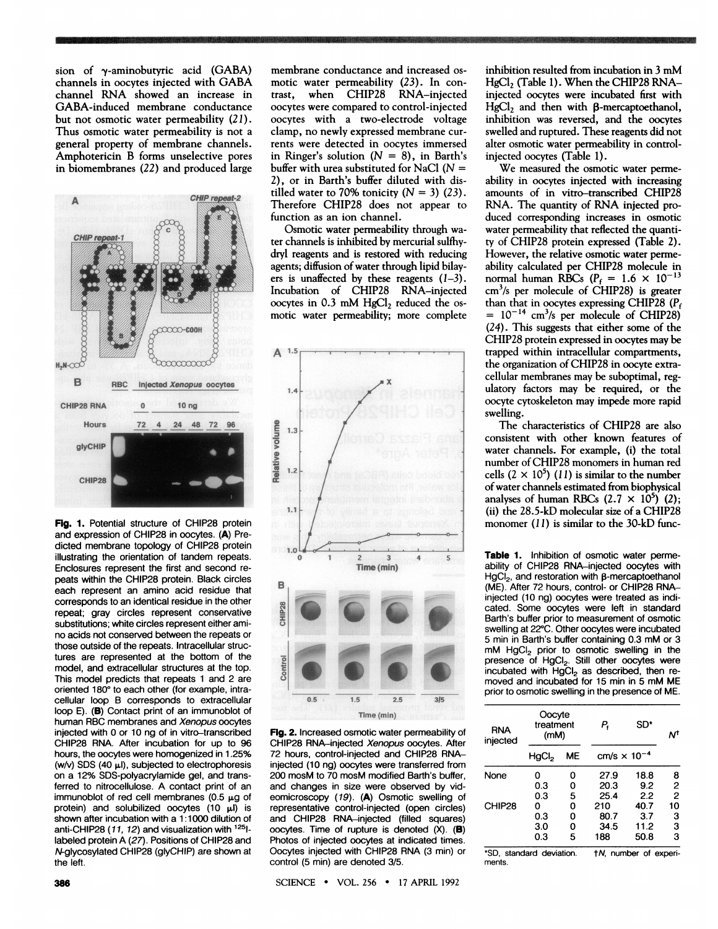sion of  $\gamma$ -aminobutyric acid (GABA) channels in oocytes injected with GABA channel RNA showed an increase in GABA-induced membrane conductance but not osmotic water permeability (21). Thus osmotic water permeability is not <sup>a</sup> general property of membrane channels. Amphotericin B forms unselective pores in biomembranes (22) and produced large



Fig. 1. Potential structure of CHIP28 protein and expression of CHIP28 in oocytes. (A) Predicted membrane topology of CHIP28 protein illustrating the orientation of tandem repeats. Enclosures represent the first and second repeats within the CHIP28 protein. Black circles each represent an amino acid residue that corresponds to an identical residue in the other repeat; gray circles represent conservative substitutions; white circles represent either amino acids not conserved between the repeats or those outside of the repeats. Intracellular structures are represented at the bottom of the model, and extracellular structures at the top. This model predicts that repeats <sup>1</sup> and 2 are oriented 180° to each other (for example, intracellular loop B corresponds to extracellular loop E). (B) Contact print of an immunoblot of human RBC membranes and Xenopus oocytes injected with 0 or 10 ng of in vitro-transcribed CHIP28 RNA. After incubation for up to 96 hours, the oocytes were homogenized in 1.25% (w/v) SDS (40  $\mu$ I), subjected to electrophoresis on a 12% SDS-polyacrylamide gel, and transferred to nitrocellulose. A contact print of an immunoblot of red cell membranes (0.5  $\mu$ g of protein) and solubilized oocytes  $(10 \mu l)$  is shown after incubation with a 1:1000 dilution of anti-CHIP28 (11, 12) and visualization with <sup>125</sup>llabeled protein A (27). Positions of CHIP28 and N-glycosylated CHIP28 (glyCHIP) are shown at the left.

membrane conductance and increased osmotic water permeability (23). In contrast, when CHIP28 RNA-injected when CHIP28 RNA-injected oocytes were compared to control-injected oocytes with a two-electrode voltage clamp, no newly expressed membrane currents were detected in oocytes immersed in Ringer's solution  $(N = 8)$ , in Barth's buffer with urea substituted for NaCl ( $N =$ 2), or in Barth's buffer diluted with distilled water to 70% tonicity  $(N = 3)$  (23). Therefore CHIP28 does not appear to function as an ion channel.

a~ a a r a a 7.

Osmotic water permeability through water channels is inhibited by mercurial sulfhydryl reagents and is restored with reducing agents; diffusion of water through lipid bilayers is unaffected by these reagents  $(1-3)$ . Incubation of CHIP28 RNA-injected oocytes in  $0.3$  mM HgCl<sub>2</sub> reduced the osmotic water permeability; more complete



Fig. 2. Increased osmotic water permeability of CHIP28 RNA-injected Xenopus oocytes. After 72 hours, control-injected and CHIP28 RNAinjected (10 ng) oocytes were transferred from 200 mosM to 70 mosM modified Barth's buffer, and changes in size were observed by videomicroscopy (19). (A) Osmotic swelling of representative control-injected (open circles) and CHIP28 RNA-injected (filled squares) oocytes. Time of rupture is denoted (X). (B) Photos of injected oocytes at indicated times. Oocytes injected with CHIP28 RNA (3 min) or control (5 min) are denoted 3/5.

SCIENCE \* VOL. 256 \* <sup>17</sup> APRIL 1992

inhibition resulted from incubation in <sup>3</sup> mM HgCl<sub>2</sub> (Table 1). When the CHIP28 RNAinjected oocytes were incubated first with HgCl<sub>2</sub> and then with  $\beta$ -mercaptoethanol, inhibition was reversed, and the oocytes swelled and ruptured. These reagents did not alter osmotic water permeability in controlinjected oocytes (Table 1).

We measured the osmotic water permeability in oocytes injected with increasing amounts of in vitro-transcribed CHIP28 RNA. The quantity of RNA injected produced corresponding increases in osmotic water permeability that reflected the quantity of CHIP28 protein expressed (Table 2). However, the relative osmotic water permeability calculated per CHIP28 molecule in normal human RBCs ( $P_f = 1.6 \times 10^{-13}$ cm3/s per molecule of CHIP28) is greater than that in oocytes expressing CHIP28 ( $P_f$  = 10<sup>-14</sup> cm<sup>3</sup>/s per molecule of CHIP28) (24). This suggests that either some of the CHIP28 protein expressed in oocytes may be trapped within intracellular compartments, the organization of CHIP28 in oocyte extracellular membranes may be suboptimal, reg ulatory factors may be required, or the oocyte cytoskeleton may impede more rapid swelling.

The characteristics of CHIP28 are also consistent with other known features of water channels. For example, (i) the total number of CHIP28 monomers in human red cells  $(2 \times 10^5)$  (11) is similar to the number of water channels estimated from biophysical analyses of human RBCs  $(2.7 \times 10^5)$  (2); (ii) the 28.5-kD molecular size of a CHIP28 monomer (11) is similar to the 30-kD func-

Table 1. Inhibition of osmotic water permeability of CHIP28 RNA-injected oocytes with HgCI<sub>2</sub>, and restoration with B-mercaptoethanol (ME). After 72 hours, control- or CHIP28 RNAinjected (10 ng) oocytes were treated as indicated. Some oocytes were left in standard Barth's buffer prior to measurement of osmotic swelling at 22°C. Other oocytes were incubated <sup>5</sup> min in Barth's buffer containing 0.3 mM or <sup>3</sup>  $m$ M HgCI<sub>2</sub> prior to osmotic swelling in the presence of HgCI<sub>2</sub>. Still other oocytes were  $incubated$  with  $HgCl<sub>2</sub>$  as described, then removed and incubated for <sup>15</sup> min in <sup>5</sup> mM ME prior to osmotic swelling in the presence of ME.

| RNA<br>injected          | Oocyte<br>treatment<br>(mM) |    | Р,                             | SD*               | Νt             |
|--------------------------|-----------------------------|----|--------------------------------|-------------------|----------------|
|                          | HgCl <sub>2</sub>           | МE | cm/s $\times$ 10 <sup>-4</sup> |                   |                |
| None                     | 0                           | Ω  | 27.9                           | 18.8              | 8              |
|                          | 0.3                         | 0  | 20.3                           | 9.2               | 2              |
|                          | 0.3                         | 5  | 25.4                           | 2.2               | $\overline{c}$ |
| CHIP28                   | 0                           | 0  | 210                            | 40.7              | 10             |
|                          | 0.3                         | 0  | 80.7                           | 3.7               |                |
|                          | 3.0                         | 0  | 34.5                           | 11.2              | $\frac{3}{3}$  |
|                          | 0.3                         | 5  | 188                            | 50.8              | 3              |
| חי<br>etandard deviation |                             |    | + 1                            | number of experi- |                |

\*SD, standard deviation. tN, number of experiments.